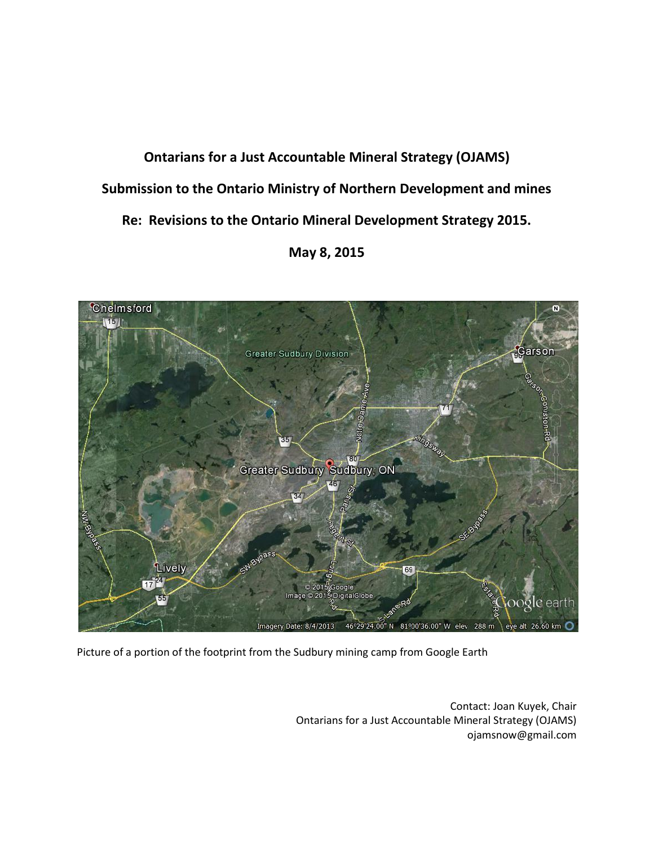# **Ontarians for a Just Accountable Mineral Strategy (OJAMS) Submission to the Ontario Ministry of Northern Development and mines Re: Revisions to the Ontario Mineral Development Strategy 2015. May 8, 2015**



Picture of a portion of the footprint from the Sudbury mining camp from Google Earth

Contact: Joan Kuyek, Chair Ontarians for a Just Accountable Mineral Strategy (OJAMS) ojamsnow@gmail.com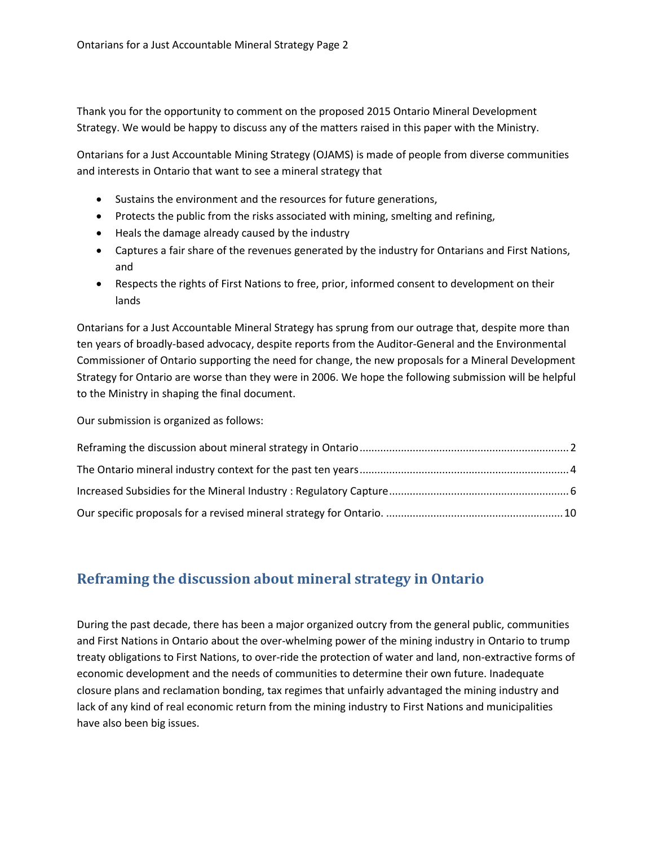Thank you for the opportunity to comment on the proposed 2015 Ontario Mineral Development Strategy. We would be happy to discuss any of the matters raised in this paper with the Ministry.

Ontarians for a Just Accountable Mining Strategy (OJAMS) is made of people from diverse communities and interests in Ontario that want to see a mineral strategy that

- Sustains the environment and the resources for future generations,
- Protects the public from the risks associated with mining, smelting and refining,
- Heals the damage already caused by the industry
- Captures a fair share of the revenues generated by the industry for Ontarians and First Nations, and
- Respects the rights of First Nations to free, prior, informed consent to development on their lands

Ontarians for a Just Accountable Mineral Strategy has sprung from our outrage that, despite more than ten years of broadly-based advocacy, despite reports from the Auditor-General and the Environmental Commissioner of Ontario supporting the need for change, the new proposals for a Mineral Development Strategy for Ontario are worse than they were in 2006. We hope the following submission will be helpful to the Ministry in shaping the final document.

Our submission is organized as follows:

## <span id="page-1-0"></span>**Reframing the discussion about mineral strategy in Ontario**

During the past decade, there has been a major organized outcry from the general public, communities and First Nations in Ontario about the over-whelming power of the mining industry in Ontario to trump treaty obligations to First Nations, to over-ride the protection of water and land, non-extractive forms of economic development and the needs of communities to determine their own future. Inadequate closure plans and reclamation bonding, tax regimes that unfairly advantaged the mining industry and lack of any kind of real economic return from the mining industry to First Nations and municipalities have also been big issues.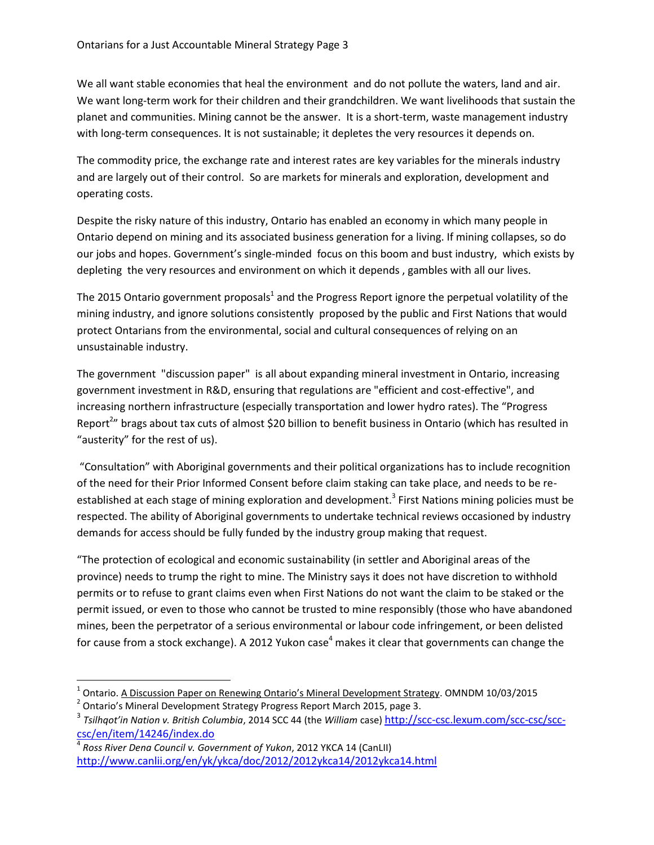We all want stable economies that heal the environment and do not pollute the waters, land and air. We want long-term work for their children and their grandchildren. We want livelihoods that sustain the planet and communities. Mining cannot be the answer. It is a short-term, waste management industry with long-term consequences. It is not sustainable; it depletes the very resources it depends on.

The commodity price, the exchange rate and interest rates are key variables for the minerals industry and are largely out of their control. So are markets for minerals and exploration, development and operating costs.

Despite the risky nature of this industry, Ontario has enabled an economy in which many people in Ontario depend on mining and its associated business generation for a living. If mining collapses, so do our jobs and hopes. Government's single-minded focus on this boom and bust industry, which exists by depleting the very resources and environment on which it depends , gambles with all our lives.

The 2015 Ontario government proposals<sup>1</sup> and the Progress Report ignore the perpetual volatility of the mining industry, and ignore solutions consistently proposed by the public and First Nations that would protect Ontarians from the environmental, social and cultural consequences of relying on an unsustainable industry.

The government "discussion paper" is all about expanding mineral investment in Ontario, increasing government investment in R&D, ensuring that regulations are "efficient and cost-effective", and increasing northern infrastructure (especially transportation and lower hydro rates). The "Progress Report<sup>2</sup>" brags about tax cuts of almost \$20 billion to benefit business in Ontario (which has resulted in "austerity" for the rest of us).

"Consultation" with Aboriginal governments and their political organizations has to include recognition of the need for their Prior Informed Consent before claim staking can take place, and needs to be reestablished at each stage of mining exploration and development.<sup>3</sup> First Nations mining policies must be respected. The ability of Aboriginal governments to undertake technical reviews occasioned by industry demands for access should be fully funded by the industry group making that request.

"The protection of ecological and economic sustainability (in settler and Aboriginal areas of the province) needs to trump the right to mine. The Ministry says it does not have discretion to withhold permits or to refuse to grant claims even when First Nations do not want the claim to be staked or the permit issued, or even to those who cannot be trusted to mine responsibly (those who have abandoned mines, been the perpetrator of a serious environmental or labour code infringement, or been delisted for cause from a stock exchange). A 2012 Yukon case<sup>4</sup> makes it clear that governments can change the

 $\overline{a}$ 

<sup>&</sup>lt;sup>1</sup> Ontario. A Discussion Paper on Renewing Ontario's Mineral Development Strategy. OMNDM 10/03/2015

<sup>&</sup>lt;sup>2</sup> Ontario's Mineral Development Strategy Progress Report March 2015, page 3.

<sup>3</sup> *Tsilhqot'in Nation v. British Columbia*, 2014 SCC 44 (the *William* case) [http://scc-csc.lexum.com/scc-csc/scc](http://scc-csc.lexum.com/scc-csc/scc-csc/en/item/14246/index.do)[csc/en/item/14246/index.do](http://scc-csc.lexum.com/scc-csc/scc-csc/en/item/14246/index.do)

<sup>4</sup> *Ross River Dena Council v. Government of Yukon*, 2012 YKCA 14 (CanLII) <http://www.canlii.org/en/yk/ykca/doc/2012/2012ykca14/2012ykca14.html>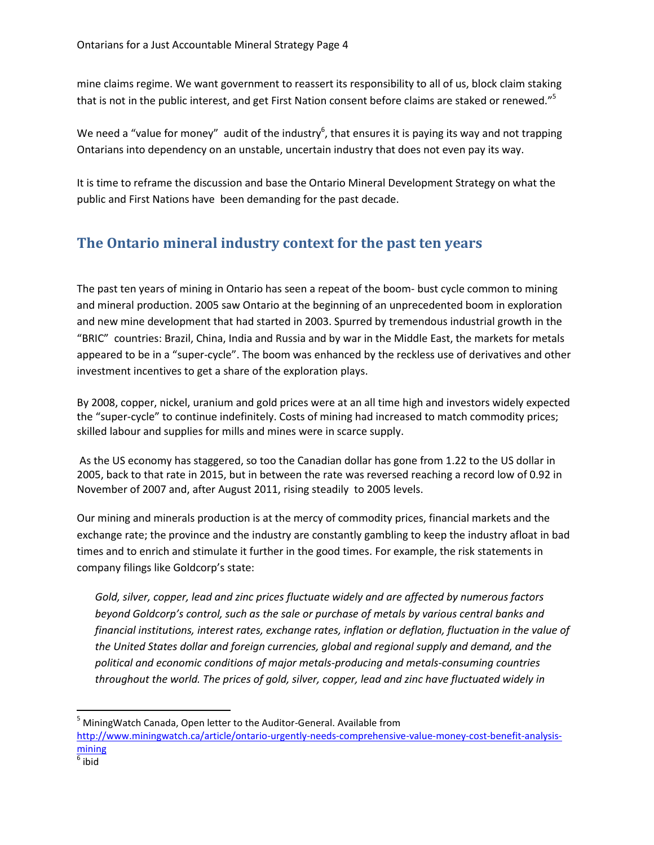mine claims regime. We want government to reassert its responsibility to all of us, block claim staking that is not in the public interest, and get First Nation consent before claims are staked or renewed."<sup>5</sup>

We need a "value for money" audit of the industry<sup>6</sup>, that ensures it is paying its way and not trapping Ontarians into dependency on an unstable, uncertain industry that does not even pay its way.

It is time to reframe the discussion and base the Ontario Mineral Development Strategy on what the public and First Nations have been demanding for the past decade.

## <span id="page-3-0"></span>**The Ontario mineral industry context for the past ten years**

The past ten years of mining in Ontario has seen a repeat of the boom- bust cycle common to mining and mineral production. 2005 saw Ontario at the beginning of an unprecedented boom in exploration and new mine development that had started in 2003. Spurred by tremendous industrial growth in the "BRIC" countries: Brazil, China, India and Russia and by war in the Middle East, the markets for metals appeared to be in a "super-cycle". The boom was enhanced by the reckless use of derivatives and other investment incentives to get a share of the exploration plays.

By 2008, copper, nickel, uranium and gold prices were at an all time high and investors widely expected the "super-cycle" to continue indefinitely. Costs of mining had increased to match commodity prices; skilled labour and supplies for mills and mines were in scarce supply.

As the US economy has staggered, so too the Canadian dollar has gone from 1.22 to the US dollar in 2005, back to that rate in 2015, but in between the rate was reversed reaching a record low of 0.92 in November of 2007 and, after August 2011, rising steadily to 2005 levels.

Our mining and minerals production is at the mercy of commodity prices, financial markets and the exchange rate; the province and the industry are constantly gambling to keep the industry afloat in bad times and to enrich and stimulate it further in the good times. For example, the risk statements in company filings like Goldcorp's state:

*Gold, silver, copper, lead and zinc prices fluctuate widely and are affected by numerous factors beyond Goldcorp's control, such as the sale or purchase of metals by various central banks and financial institutions, interest rates, exchange rates, inflation or deflation, fluctuation in the value of the United States dollar and foreign currencies, global and regional supply and demand, and the political and economic conditions of major metals-producing and metals-consuming countries throughout the world. The prices of gold, silver, copper, lead and zinc have fluctuated widely in* 

 $\overline{a}$ 

<sup>&</sup>lt;sup>5</sup> MiningWatch Canada, Open letter to the Auditor-General. Available from

[http://www.miningwatch.ca/article/ontario-urgently-needs-comprehensive-value-money-cost-benefit-analysis](http://www.miningwatch.ca/article/ontario-urgently-needs-comprehensive-value-money-cost-benefit-analysis-mining)[mining](http://www.miningwatch.ca/article/ontario-urgently-needs-comprehensive-value-money-cost-benefit-analysis-mining)

 $^6$  ibid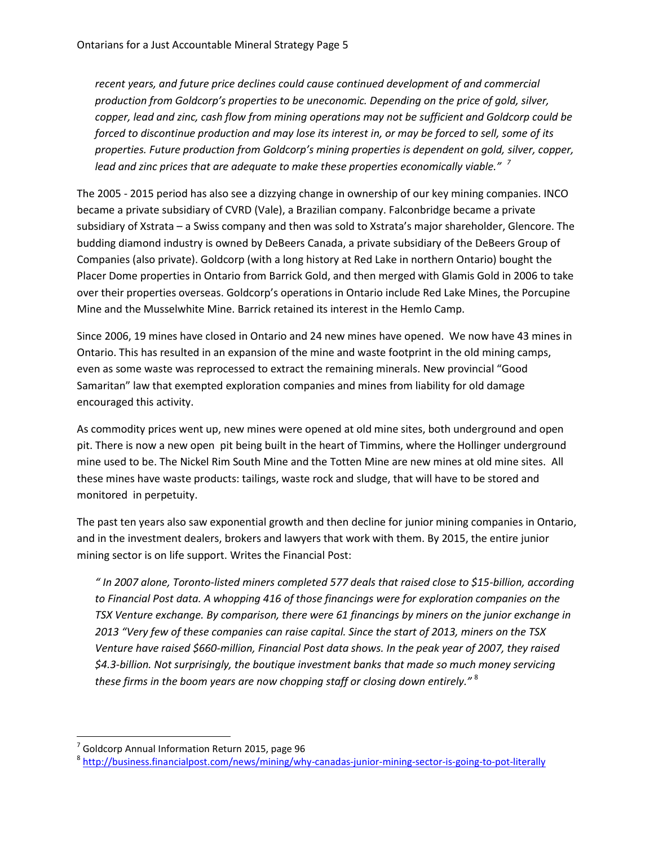*recent years, and future price declines could cause continued development of and commercial production from Goldcorp's properties to be uneconomic. Depending on the price of gold, silver, copper, lead and zinc, cash flow from mining operations may not be sufficient and Goldcorp could be forced to discontinue production and may lose its interest in, or may be forced to sell, some of its properties. Future production from Goldcorp's mining properties is dependent on gold, silver, copper, lead and zinc prices that are adequate to make these properties economically viable." <sup>7</sup>*

The 2005 - 2015 period has also see a dizzying change in ownership of our key mining companies. INCO became a private subsidiary of CVRD (Vale), a Brazilian company. Falconbridge became a private subsidiary of Xstrata – a Swiss company and then was sold to Xstrata's major shareholder, Glencore. The budding diamond industry is owned by DeBeers Canada, a private subsidiary of the DeBeers Group of Companies (also private). Goldcorp (with a long history at Red Lake in northern Ontario) bought the Placer Dome properties in Ontario from Barrick Gold, and then merged with Glamis Gold in 2006 to take over their properties overseas. Goldcorp's operations in Ontario include Red Lake Mines, the Porcupine Mine and the Musselwhite Mine. Barrick retained its interest in the Hemlo Camp.

Since 2006, 19 mines have closed in Ontario and 24 new mines have opened. We now have 43 mines in Ontario. This has resulted in an expansion of the mine and waste footprint in the old mining camps, even as some waste was reprocessed to extract the remaining minerals. New provincial "Good Samaritan" law that exempted exploration companies and mines from liability for old damage encouraged this activity.

As commodity prices went up, new mines were opened at old mine sites, both underground and open pit. There is now a new open pit being built in the heart of Timmins, where the Hollinger underground mine used to be. The Nickel Rim South Mine and the Totten Mine are new mines at old mine sites. All these mines have waste products: tailings, waste rock and sludge, that will have to be stored and monitored in perpetuity.

The past ten years also saw exponential growth and then decline for junior mining companies in Ontario, and in the investment dealers, brokers and lawyers that work with them. By 2015, the entire junior mining sector is on life support. Writes the Financial Post:

*" In 2007 alone, Toronto-listed miners completed 577 deals that raised close to \$15-billion, according to Financial Post data. A whopping 416 of those financings were for exploration companies on the TSX Venture exchange. By comparison, there were 61 financings by miners on the junior exchange in 2013 "Very few of these companies can raise capital. Since the start of 2013, miners on the TSX Venture have raised \$660-million, Financial Post data shows. In the peak year of 2007, they raised \$4.3-billion. Not surprisingly, the boutique investment banks that made so much money servicing these firms in the boom years are now chopping staff or closing down entirely."* <sup>8</sup>

l

 $^7$  Goldcorp Annual Information Return 2015, page 96

<sup>&</sup>lt;sup>8</sup> <http://business.financialpost.com/news/mining/why-canadas-junior-mining-sector-is-going-to-pot-literally>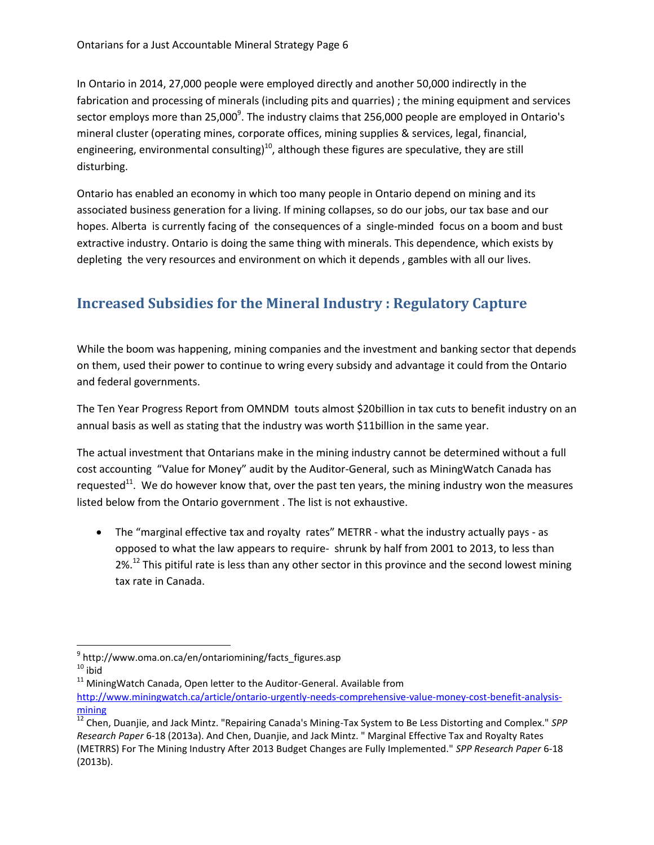In Ontario in 2014, 27,000 people were employed directly and another 50,000 indirectly in the fabrication and processing of minerals (including pits and quarries) ; the mining equipment and services sector employs more than 25,000 $^9$ . The industry claims that 256,000 people are employed in Ontario's mineral cluster (operating mines, corporate offices, mining supplies & services, legal, financial, engineering, environmental consulting)<sup>10</sup>, although these figures are speculative, they are still disturbing.

Ontario has enabled an economy in which too many people in Ontario depend on mining and its associated business generation for a living. If mining collapses, so do our jobs, our tax base and our hopes. Alberta is currently facing of the consequences of a single-minded focus on a boom and bust extractive industry. Ontario is doing the same thing with minerals. This dependence, which exists by depleting the very resources and environment on which it depends , gambles with all our lives.

# <span id="page-5-0"></span>**Increased Subsidies for the Mineral Industry : Regulatory Capture**

While the boom was happening, mining companies and the investment and banking sector that depends on them, used their power to continue to wring every subsidy and advantage it could from the Ontario and federal governments.

The Ten Year Progress Report from OMNDM touts almost \$20billion in tax cuts to benefit industry on an annual basis as well as stating that the industry was worth \$11billion in the same year.

The actual investment that Ontarians make in the mining industry cannot be determined without a full cost accounting "Value for Money" audit by the Auditor-General, such as MiningWatch Canada has requested<sup>11</sup>. We do however know that, over the past ten years, the mining industry won the measures listed below from the Ontario government . The list is not exhaustive.

• The "marginal effective tax and royalty rates" METRR - what the industry actually pays - as opposed to what the law appears to require- shrunk by half from 2001 to 2013, to less than  $2\%$ <sup>12</sup> This pitiful rate is less than any other sector in this province and the second lowest mining tax rate in Canada.

 $\overline{\phantom{a}}$ <sup>9</sup> http://www.oma.on.ca/en/ontariomining/facts\_figures.asp

 $10$  ibid

 $11$  MiningWatch Canada, Open letter to the Auditor-General. Available from [http://www.miningwatch.ca/article/ontario-urgently-needs-comprehensive-value-money-cost-benefit-analysis](http://www.miningwatch.ca/article/ontario-urgently-needs-comprehensive-value-money-cost-benefit-analysis-mining)[mining](http://www.miningwatch.ca/article/ontario-urgently-needs-comprehensive-value-money-cost-benefit-analysis-mining)

<sup>12</sup> Chen, Duanjie, and Jack Mintz. "Repairing Canada's Mining-Tax System to Be Less Distorting and Complex." *SPP Research Paper* 6-18 (2013a). And Chen, Duanjie, and Jack Mintz. " Marginal Effective Tax and Royalty Rates (METRRS) For The Mining Industry After 2013 Budget Changes are Fully Implemented." *SPP Research Paper* 6-18 (2013b).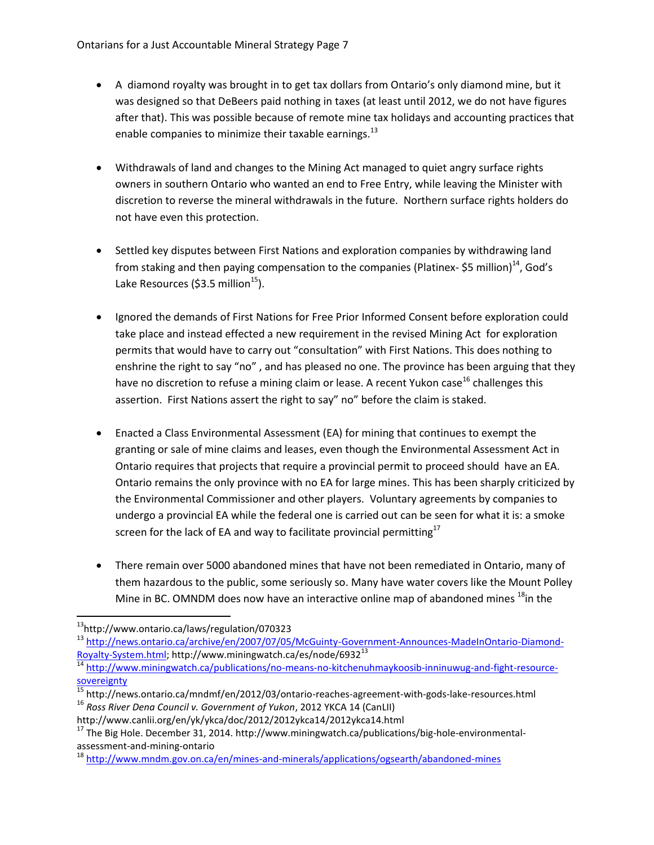- A diamond royalty was brought in to get tax dollars from Ontario's only diamond mine, but it was designed so that DeBeers paid nothing in taxes (at least until 2012, we do not have figures after that). This was possible because of remote mine tax holidays and accounting practices that enable companies to minimize their taxable earnings.<sup>13</sup>
- Withdrawals of land and changes to the Mining Act managed to quiet angry surface rights owners in southern Ontario who wanted an end to Free Entry, while leaving the Minister with discretion to reverse the mineral withdrawals in the future. Northern surface rights holders do not have even this protection.
- Settled key disputes between First Nations and exploration companies by withdrawing land from staking and then paying compensation to the companies (Platinex- \$5 million)<sup>14</sup>, God's Lake Resources (\$3.5 million<sup>15</sup>).
- Ignored the demands of First Nations for Free Prior Informed Consent before exploration could take place and instead effected a new requirement in the revised Mining Act for exploration permits that would have to carry out "consultation" with First Nations. This does nothing to enshrine the right to say "no" , and has pleased no one. The province has been arguing that they have no discretion to refuse a mining claim or lease. A recent Yukon case<sup>16</sup> challenges this assertion. First Nations assert the right to say" no" before the claim is staked.
- Enacted a Class Environmental Assessment (EA) for mining that continues to exempt the granting or sale of mine claims and leases, even though the Environmental Assessment Act in Ontario requires that projects that require a provincial permit to proceed should have an EA. Ontario remains the only province with no EA for large mines. This has been sharply criticized by the Environmental Commissioner and other players. Voluntary agreements by companies to undergo a provincial EA while the federal one is carried out can be seen for what it is: a smoke screen for the lack of EA and way to facilitate provincial permitting<sup>17</sup>
- There remain over 5000 abandoned mines that have not been remediated in Ontario, many of them hazardous to the public, some seriously so. Many have water covers like the Mount Polley Mine in BC. OMNDM does now have an interactive online map of abandoned mines  $^{18}$ in the

 $\overline{a}$ <sup>13</sup>http://www.ontario.ca/laws/regulation/070323

<sup>&</sup>lt;sup>13</sup> [http://news.ontario.ca/archive/en/2007/07/05/McGuinty-Government-Announces-MadeInOntario-Diamond-](http://news.ontario.ca/archive/en/2007/07/05/McGuinty-Government-Announces-MadeInOntario-Diamond-Royalty-System.html)[Royalty-System.html;](http://news.ontario.ca/archive/en/2007/07/05/McGuinty-Government-Announces-MadeInOntario-Diamond-Royalty-System.html) http://www.miningwatch.ca/es/node/6932<sup>13</sup>

<sup>&</sup>lt;sup>14</sup> [http://www.miningwatch.ca/publications/no-means-no-kitchenuhmaykoosib-inninuwug-and-fight-resource](http://www.miningwatch.ca/publications/no-means-no-kitchenuhmaykoosib-inninuwug-and-fight-resource-sovereignty)[sovereignty](http://www.miningwatch.ca/publications/no-means-no-kitchenuhmaykoosib-inninuwug-and-fight-resource-sovereignty)

<sup>15</sup> http://news.ontario.ca/mndmf/en/2012/03/ontario-reaches-agreement-with-gods-lake-resources.html <sup>16</sup> *Ross River Dena Council v. Government of Yukon*, 2012 YKCA 14 (CanLII)

http://www.canlii.org/en/yk/ykca/doc/2012/2012ykca14/2012ykca14.html

<sup>&</sup>lt;sup>17</sup> The Big Hole. December 31, 2014. http://www.miningwatch.ca/publications/big-hole-environmentalassessment-and-mining-ontario

<sup>&</sup>lt;sup>18</sup> <http://www.mndm.gov.on.ca/en/mines-and-minerals/applications/ogsearth/abandoned-mines>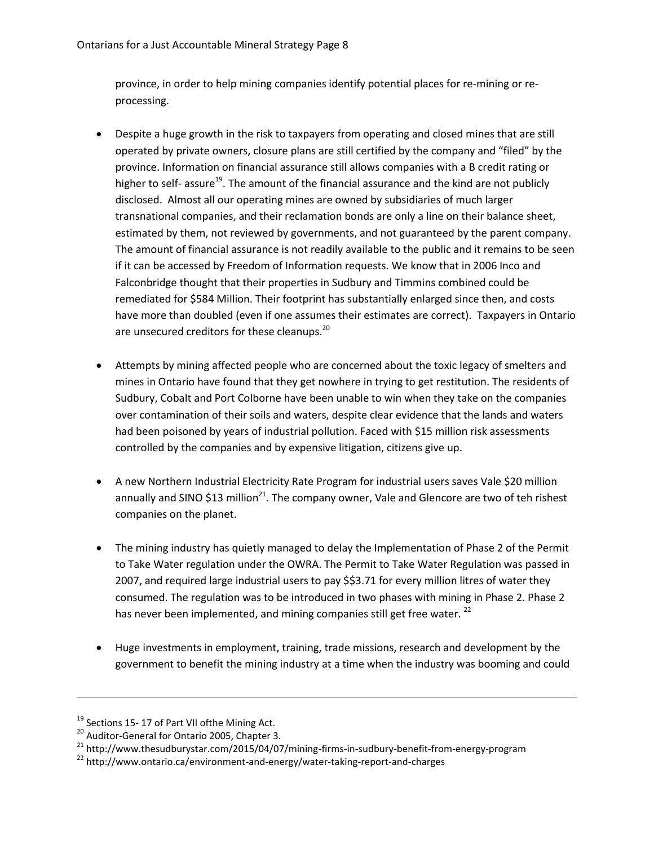province, in order to help mining companies identify potential places for re-mining or reprocessing.

- Despite a huge growth in the risk to taxpayers from operating and closed mines that are still operated by private owners, closure plans are still certified by the company and "filed" by the province. Information on financial assurance still allows companies with a B credit rating or higher to self- assure<sup>19</sup>. The amount of the financial assurance and the kind are not publicly disclosed. Almost all our operating mines are owned by subsidiaries of much larger transnational companies, and their reclamation bonds are only a line on their balance sheet, estimated by them, not reviewed by governments, and not guaranteed by the parent company. The amount of financial assurance is not readily available to the public and it remains to be seen if it can be accessed by Freedom of Information requests. We know that in 2006 Inco and Falconbridge thought that their properties in Sudbury and Timmins combined could be remediated for \$584 Million. Their footprint has substantially enlarged since then, and costs have more than doubled (even if one assumes their estimates are correct). Taxpayers in Ontario are unsecured creditors for these cleanups.<sup>20</sup>
- Attempts by mining affected people who are concerned about the toxic legacy of smelters and mines in Ontario have found that they get nowhere in trying to get restitution. The residents of Sudbury, Cobalt and Port Colborne have been unable to win when they take on the companies over contamination of their soils and waters, despite clear evidence that the lands and waters had been poisoned by years of industrial pollution. Faced with \$15 million risk assessments controlled by the companies and by expensive litigation, citizens give up.
- A new Northern Industrial Electricity Rate Program for industrial users saves Vale \$20 million annually and SINO \$13 million<sup>21</sup>. The company owner, Vale and Glencore are two of teh rishest companies on the planet.
- The mining industry has quietly managed to delay the Implementation of Phase 2 of the Permit to Take Water regulation under the OWRA. The Permit to Take Water Regulation was passed in 2007, and required large industrial users to pay \$\$3.71 for every million litres of water they consumed. The regulation was to be introduced in two phases with mining in Phase 2. Phase 2 has never been implemented, and mining companies still get free water.<sup>22</sup>
- Huge investments in employment, training, trade missions, research and development by the government to benefit the mining industry at a time when the industry was booming and could

l

<sup>&</sup>lt;sup>19</sup> Sections 15- 17 of Part VII of the Mining Act.

<sup>&</sup>lt;sup>20</sup> Auditor-General for Ontario 2005, Chapter 3.

 $21$  http://www.thesudburystar.com/2015/04/07/mining-firms-in-sudbury-benefit-from-energy-program

<sup>&</sup>lt;sup>22</sup> http://www.ontario.ca/environment-and-energy/water-taking-report-and-charges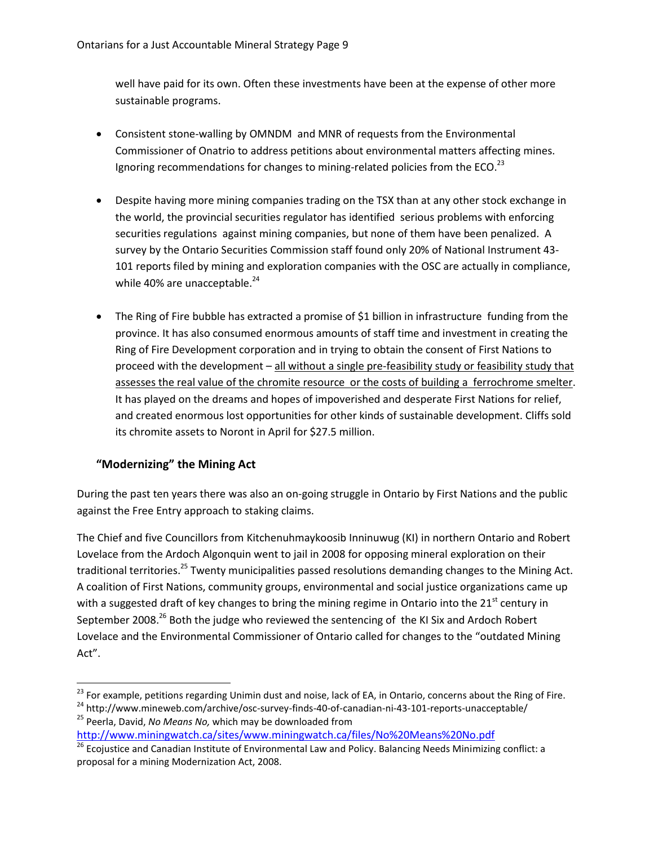well have paid for its own. Often these investments have been at the expense of other more sustainable programs.

- Consistent stone-walling by OMNDM and MNR of requests from the Environmental Commissioner of Onatrio to address petitions about environmental matters affecting mines. Ignoring recommendations for changes to mining-related policies from the ECO.<sup>23</sup>
- Despite having more mining companies trading on the TSX than at any other stock exchange in the world, the provincial securities regulator has identified serious problems with enforcing securities regulations against mining companies, but none of them have been penalized. A survey by the Ontario Securities Commission staff found only 20% of National Instrument 43- 101 reports filed by mining and exploration companies with the OSC are actually in compliance, while 40% are unacceptable. $24$
- The Ring of Fire bubble has extracted a promise of \$1 billion in infrastructure funding from the province. It has also consumed enormous amounts of staff time and investment in creating the Ring of Fire Development corporation and in trying to obtain the consent of First Nations to proceed with the development – all without a single pre-feasibility study or feasibility study that assesses the real value of the chromite resource or the costs of building a ferrochrome smelter. It has played on the dreams and hopes of impoverished and desperate First Nations for relief, and created enormous lost opportunities for other kinds of sustainable development. Cliffs sold its chromite assets to Noront in April for \$27.5 million.

#### **"Modernizing" the Mining Act**

 $\overline{\phantom{a}}$ 

During the past ten years there was also an on-going struggle in Ontario by First Nations and the public against the Free Entry approach to staking claims.

The Chief and five Councillors from Kitchenuhmaykoosib Inninuwug (KI) in northern Ontario and Robert Lovelace from the Ardoch Algonquin went to jail in 2008 for opposing mineral exploration on their traditional territories.<sup>25</sup> Twenty municipalities passed resolutions demanding changes to the Mining Act. A coalition of First Nations, community groups, environmental and social justice organizations came up with a suggested draft of key changes to bring the mining regime in Ontario into the 21<sup>st</sup> century in September 2008.<sup>26</sup> Both the judge who reviewed the sentencing of the KI Six and Ardoch Robert Lovelace and the Environmental Commissioner of Ontario called for changes to the "outdated Mining Act".

<http://www.miningwatch.ca/sites/www.miningwatch.ca/files/No%20Means%20No.pdf>

 $^{23}$  For example, petitions regarding Unimin dust and noise, lack of EA, in Ontario, concerns about the Ring of Fire.

<sup>24</sup> http://www.mineweb.com/archive/osc-survey-finds-40-of-canadian-ni-43-101-reports-unacceptable/ <sup>25</sup> Peerla, David, *No Means No,* which may be downloaded from

<sup>&</sup>lt;sup>26</sup> Ecojustice and Canadian Institute of Environmental Law and Policy. Balancing Needs Minimizing conflict: a proposal for a mining Modernization Act, 2008.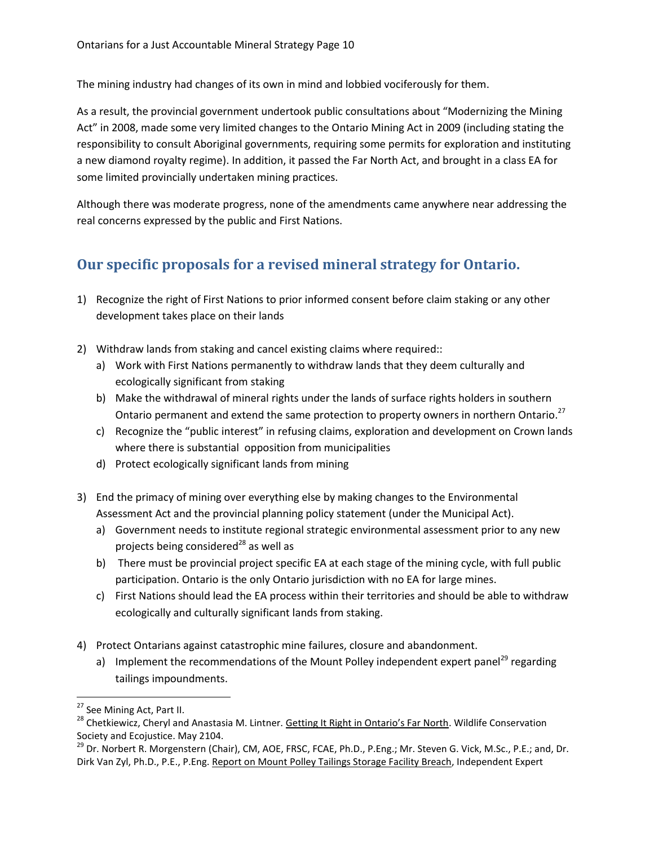The mining industry had changes of its own in mind and lobbied vociferously for them.

As a result, the provincial government undertook public consultations about "Modernizing the Mining Act" in 2008, made some very limited changes to the Ontario Mining Act in 2009 (including stating the responsibility to consult Aboriginal governments, requiring some permits for exploration and instituting a new diamond royalty regime). In addition, it passed the Far North Act, and brought in a class EA for some limited provincially undertaken mining practices.

Although there was moderate progress, none of the amendments came anywhere near addressing the real concerns expressed by the public and First Nations.

# <span id="page-9-0"></span>**Our specific proposals for a revised mineral strategy for Ontario.**

- 1) Recognize the right of First Nations to prior informed consent before claim staking or any other development takes place on their lands
- 2) Withdraw lands from staking and cancel existing claims where required::
	- a) Work with First Nations permanently to withdraw lands that they deem culturally and ecologically significant from staking
	- b) Make the withdrawal of mineral rights under the lands of surface rights holders in southern Ontario permanent and extend the same protection to property owners in northern Ontario.<sup>27</sup>
	- c) Recognize the "public interest" in refusing claims, exploration and development on Crown lands where there is substantial opposition from municipalities
	- d) Protect ecologically significant lands from mining
- 3) End the primacy of mining over everything else by making changes to the Environmental Assessment Act and the provincial planning policy statement (under the Municipal Act).
	- a) Government needs to institute regional strategic environmental assessment prior to any new projects being considered $^{28}$  as well as
	- b) There must be provincial project specific EA at each stage of the mining cycle, with full public participation. Ontario is the only Ontario jurisdiction with no EA for large mines.
	- c) First Nations should lead the EA process within their territories and should be able to withdraw ecologically and culturally significant lands from staking.
- 4) Protect Ontarians against catastrophic mine failures, closure and abandonment.
	- a) Implement the recommendations of the Mount Polley independent expert panel<sup>29</sup> regarding tailings impoundments.

l

<sup>&</sup>lt;sup>27</sup> See Mining Act, Part II.

<sup>&</sup>lt;sup>28</sup> Chetkiewicz, Cheryl and Anastasia M. Lintner. Getting It Right in Ontario's Far North. Wildlife Conservation Society and Ecojustice. May 2104.

<sup>&</sup>lt;sup>29</sup> Dr. Norbert R. Morgenstern (Chair), CM, AOE, FRSC, FCAE, Ph.D., P.Eng.; Mr. Steven G. Vick, M.Sc., P.E.; and, Dr. Dirk Van Zyl, Ph.D., P.E., P.Eng. Report on Mount Polley Tailings Storage Facility Breach, Independent Expert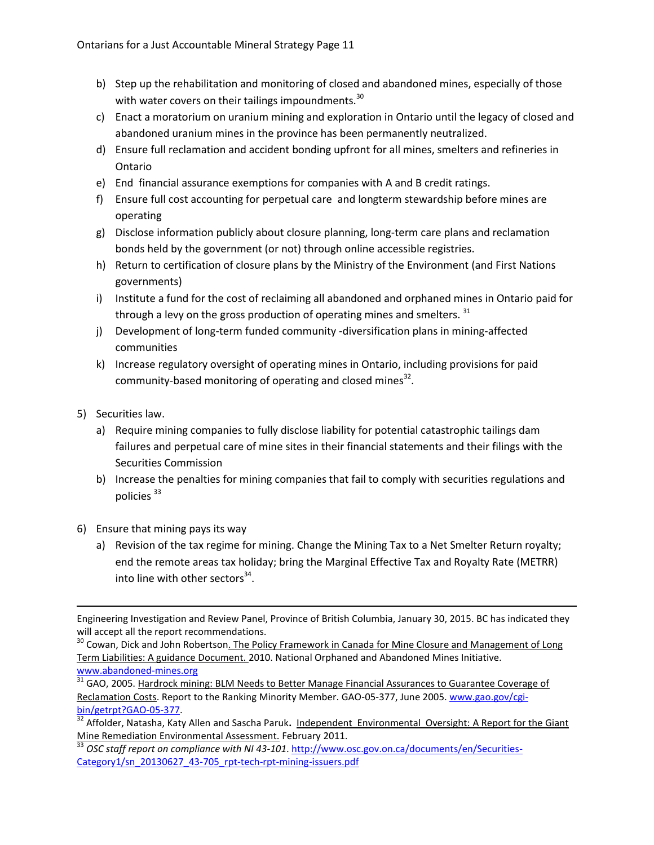- b) Step up the rehabilitation and monitoring of closed and abandoned mines, especially of those with water covers on their tailings impoundments.<sup>30</sup>
- c) Enact a moratorium on uranium mining and exploration in Ontario until the legacy of closed and abandoned uranium mines in the province has been permanently neutralized.
- d) Ensure full reclamation and accident bonding upfront for all mines, smelters and refineries in Ontario
- e) End financial assurance exemptions for companies with A and B credit ratings.
- f) Ensure full cost accounting for perpetual care and longterm stewardship before mines are operating
- g) Disclose information publicly about closure planning, long-term care plans and reclamation bonds held by the government (or not) through online accessible registries.
- h) Return to certification of closure plans by the Ministry of the Environment (and First Nations governments)
- i) Institute a fund for the cost of reclaiming all abandoned and orphaned mines in Ontario paid for through a levy on the gross production of operating mines and smelters. <sup>31</sup>
- j) Development of long-term funded community -diversification plans in mining-affected communities
- k) Increase regulatory oversight of operating mines in Ontario, including provisions for paid community-based monitoring of operating and closed mines<sup>32</sup>.
- 5) Securities law.
	- a) Require mining companies to fully disclose liability for potential catastrophic tailings dam failures and perpetual care of mine sites in their financial statements and their filings with the Securities Commission
	- b) Increase the penalties for mining companies that fail to comply with securities regulations and policies<sup>33</sup>
- 6) Ensure that mining pays its way
	- a) Revision of the tax regime for mining. Change the Mining Tax to a Net Smelter Return royalty; end the remote areas tax holiday; bring the Marginal Effective Tax and Royalty Rate (METRR) into line with other sectors $34$ .

<sup>30</sup> Cowan, Dick and John Robertson<u>. The Policy Framework in Canada for Mine Closure and Management of Long</u> Term Liabilities: A guidance Document. 2010. National Orphaned and Abandoned Mines Initiative.

[www.abandoned-mines.org](http://www.abandoned-mines.org/)

<sup>31</sup> GAO, 2005. <u>Hardrock mining: BLM Needs to Better Manage Financial Assurances to Guarantee Coverage of</u> Reclamation Costs. Report to the Ranking Minority Member. GAO-05-377, June 2005. [www.gao.gov/cgi](http://www.gao.gov/cgi-bin/getrpt?GAO-05-377)[bin/getrpt?GAO-05-377.](http://www.gao.gov/cgi-bin/getrpt?GAO-05-377)

<sup>32</sup> Affolder, Natasha, Katy Allen and Sascha Paruk**.** Independent Environmental Oversight: A Report for the Giant Mine Remediation Environmental Assessment. February 2011.

 $\overline{\phantom{a}}$ Engineering Investigation and Review Panel, Province of British Columbia, January 30, 2015. BC has indicated they will accept all the report recommendations.

<sup>&</sup>lt;sup>33</sup> OSC staff report on compliance with NI 43-101. [http://www.osc.gov.on.ca/documents/en/Securities-](http://www.osc.gov.on.ca/documents/en/Securities-Category1/sn_20130627_43-705_rpt-tech-rpt-mining-issuers.pdf)[Category1/sn\\_20130627\\_43-705\\_rpt-tech-rpt-mining-issuers.pdf](http://www.osc.gov.on.ca/documents/en/Securities-Category1/sn_20130627_43-705_rpt-tech-rpt-mining-issuers.pdf)